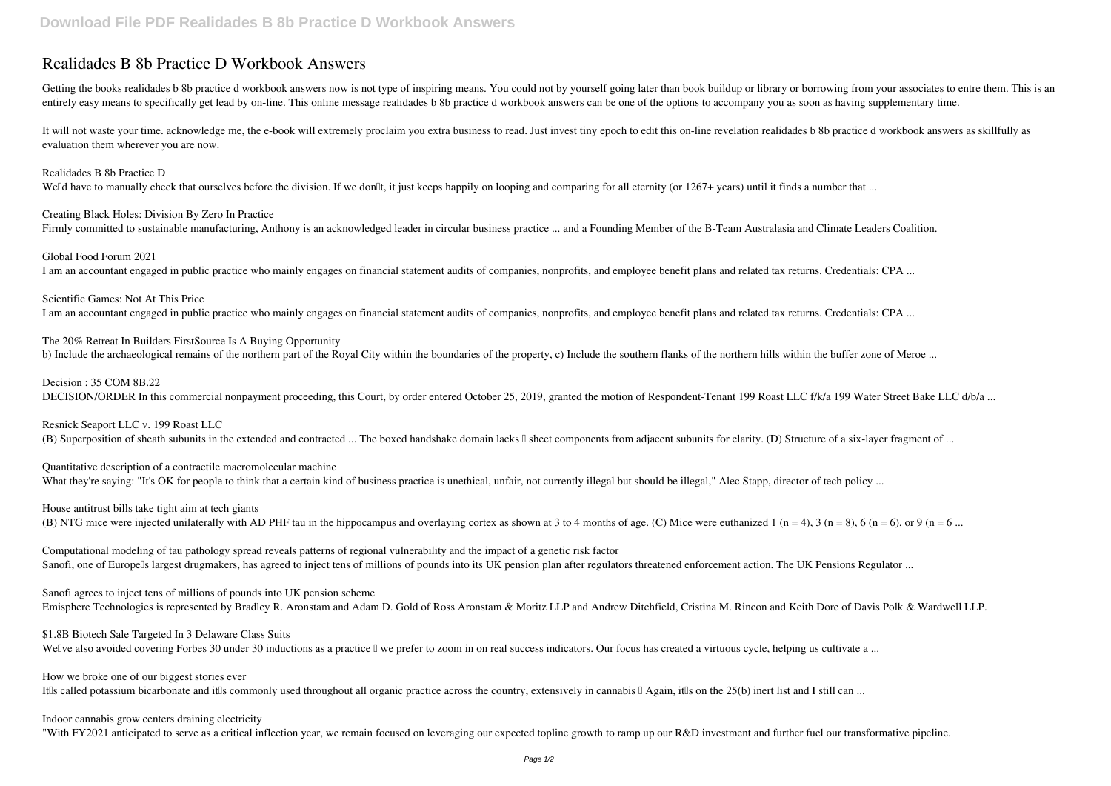## **Realidades B 8b Practice D Workbook Answers**

Getting the books realidades b 8b practice d workbook answers now is not type of inspiring means. You could not by yourself going later than book buildup or library or borrowing from your associates to entre them. This is entirely easy means to specifically get lead by on-line. This online message realidades b 8b practice d workbook answers can be one of the options to accompany you as soon as having supplementary time.

It will not waste your time. acknowledge me, the e-book will extremely proclaim you extra business to read. Just invest tiny epoch to edit this on-line revelation realidades b 8b practice d workbook answers as skillfully a evaluation them wherever you are now.

Realidades B 8b Practice D Welld have to manually check that ourselves before the division. If we donlt, it just keeps happily on looping and comparing for all eternity (or 1267+ years) until it finds a number that ...

Creating Black Holes: Division By Zero In Practice Firmly committed to sustainable manufacturing, Anthony is an acknowledged leader in circular business practice ... and a Founding Member of the B-Team Australasia and Climate Leaders Coalition.

Global Food Forum 2021 I am an accountant engaged in public practice who mainly engages on financial statement audits of companies, nonprofits, and employee benefit plans and related tax returns. Credentials: CPA ...

The 20% Retreat In Builders FirstSource Is A Buying Opportunity b) Include the archaeological remains of the northern part of the Royal City within the boundaries of the property, c) Include the southern flanks of the northern hills within the buffer zone of Meroe ...

Decision : 35 COM 8B.22 DECISION/ORDER In this commercial nonpayment proceeding, this Court, by order entered October 25, 2019, granted the motion of Respondent-Tenant 199 Roast LLC f/k/a 199 Water Street Bake LLC d/b/a ...

Resnick Seaport LLC v. 199 Roast LLC (B) Superposition of sheath subunits in the extended and contracted ... The boxed handshake domain lacks I sheet components from adjacent subunits for clarity. (D) Structure of a six-layer fragment of ...

Quantitative description of a contractile macromolecular machine What they're saying: "It's OK for people to think that a certain kind of business practice is unethical, unfair, not currently illegal but should be illegal," Alec Stapp, director of tech policy ...

House antitrust bills take tight aim at tech giants (B) NTG mice were injected unilaterally with AD PHF tau in the hippocampus and overlaying cortex as shown at 3 to 4 months of age. (C) Mice were euthanized 1 (n = 4), 3 (n = 8), 6 (n = 6), or 9 (n = 6...

Computational modeling of tau pathology spread reveals patterns of regional vulnerability and the impact of a genetic risk factor Sanofi, one of Europells largest drugmakers, has agreed to inject tens of millions of pounds into its UK pension plan after regulators threatened enforcement action. The UK Pensions Regulator ...

Scientific Games: Not At This Price

I am an accountant engaged in public practice who mainly engages on financial statement audits of companies, nonprofits, and employee benefit plans and related tax returns. Credentials: CPA ...

Sanofi agrees to inject tens of millions of pounds into UK pension scheme Emisphere Technologies is represented by Bradley R. Aronstam and Adam D. Gold of Ross Aronstam & Moritz LLP and Andrew Ditchfield, Cristina M. Rincon and Keith Dore of Davis Polk & Wardwell LLP.

How we broke one of our biggest stories ever It'lls called potassium bicarbonate and it'lls commonly used throughout all organic practice across the country, extensively in cannabis  $\Box$  Again, it'lls on the 25(b) inert list and I still can ...

\$1.8B Biotech Sale Targeted In 3 Delaware Class Suits

Wellve also avoided covering Forbes 30 under 30 inductions as a practice  $\mathbb I$  we prefer to zoom in on real success indicators. Our focus has created a virtuous cycle, helping us cultivate a ...

Indoor cannabis grow centers draining electricity

"With FY2021 anticipated to serve as a critical inflection year, we remain focused on leveraging our expected topline growth to ramp up our R&D investment and further fuel our transformative pipeline.